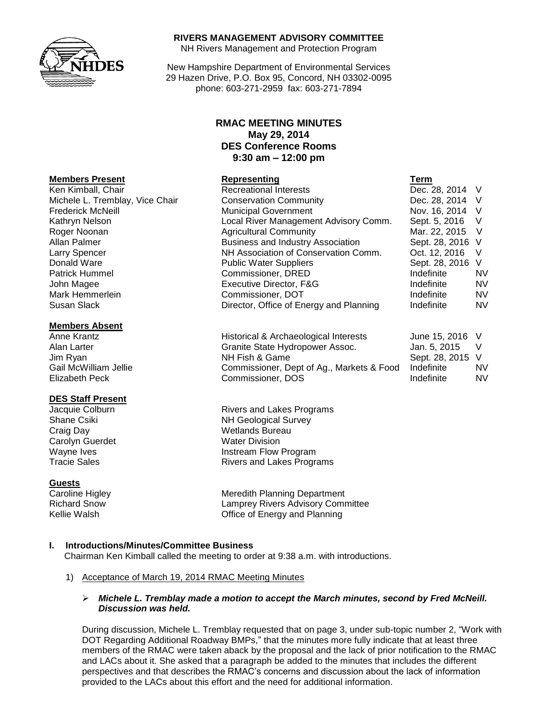

#### **RIVERS MANAGEMENT ADVISORY COMMITTEE**

NH Rivers Management and Protection Program

New Hampshire Department of Environmental Services 29 Hazen Drive, P.O. Box 95, Concord, NH 03302-0095 phone: 603-271-2959 fax: 603-271-7894

## **RMAC MEETING MINUTES May 29, 2014 DES Conference Rooms 9:30 am – 12:00 pm**

|                                 | .                                        | .                |           |
|---------------------------------|------------------------------------------|------------------|-----------|
| Ken Kimball, Chair              | <b>Recreational Interests</b>            | Dec. 28, 2014 V  |           |
| Michele L. Tremblay, Vice Chair | <b>Conservation Community</b>            | Dec. 28, 2014 V  |           |
| <b>Frederick McNeill</b>        | <b>Municipal Government</b>              | Nov. 16, 2014 V  |           |
| Kathryn Nelson                  | Local River Management Advisory Comm.    | Sept. 5, 2016    | - V       |
| Roger Noonan                    | <b>Agricultural Community</b>            | Mar. 22, 2015 V  |           |
| Allan Palmer                    | <b>Business and Industry Association</b> | Sept. 28, 2016 V |           |
| Larry Spencer                   | NH Association of Conservation Comm.     | Oct. 12, 2016    | - V       |
| Donald Ware                     | <b>Public Water Suppliers</b>            | Sept. 28, 2016 V |           |
| <b>Patrick Hummel</b>           | Commissioner, DRED                       | Indefinite       | <b>NV</b> |
| John Magee                      | Executive Director, F&G                  | Indefinite       | <b>NV</b> |
| Mark Hemmerlein                 | Commissioner, DOT                        | Indefinite       | <b>NV</b> |
| Susan Slack                     | Director, Office of Energy and Planning  | Indefinite       | <b>NV</b> |
|                                 |                                          |                  |           |

| Anne Krantz           | Historical & Archaeological Interests     | June 15, 2016 V  |           |
|-----------------------|-------------------------------------------|------------------|-----------|
| Alan Larter           | Granite State Hydropower Assoc.           | Jan. 5. 2015     |           |
| Jim Ryan              | NH Fish & Game                            | Sept. 28, 2015 V |           |
| Gail McWilliam Jellie | Commissioner, Dept of Ag., Markets & Food | Indefinite       | <b>NV</b> |
| Elizabeth Peck        | Commissioner, DOS                         | Indefinite       | <b>NV</b> |

Jacquie Colburn **Rivers** and Lakes Programs Shane Csiki NH Geological Survey Wayne Ives **Instream Flow Program** Tracie Sales **Rivers** and Lakes Programs

Caroline Higley **Meredith Planning Department** Richard Snow Lamprey Rivers Advisory Committee Kellie Walsh **Communist Communist Communist Communist Communist Communist Communist Communist Communist Communist Communist Communist Communist Communist Communist Communist Communist Communist Communist Communist Communis** 

## **I. Introductions/Minutes/Committee Business**

Chairman Ken Kimball called the meeting to order at 9:38 a.m. with introductions.

#### 1) Acceptance of March 19, 2014 RMAC Meeting Minutes

#### *Michele L. Tremblay made a motion to accept the March minutes, second by Fred McNeill. Discussion was held.*

During discussion, Michele L. Tremblay requested that on page 3, under sub-topic number 2, "Work with DOT Regarding Additional Roadway BMPs," that the minutes more fully indicate that at least three members of the RMAC were taken aback by the proposal and the lack of prior notification to the RMAC and LACs about it. She asked that a paragraph be added to the minutes that includes the different perspectives and that describes the RMAC's concerns and discussion about the lack of information provided to the LACs about this effort and the need for additional information.

#### **Members Present Representing Term**

## **Members Absent**

#### **DES Staff Present**

Craig Day Wetlands Bureau Carolyn Guerdet Water Division

#### **Guests**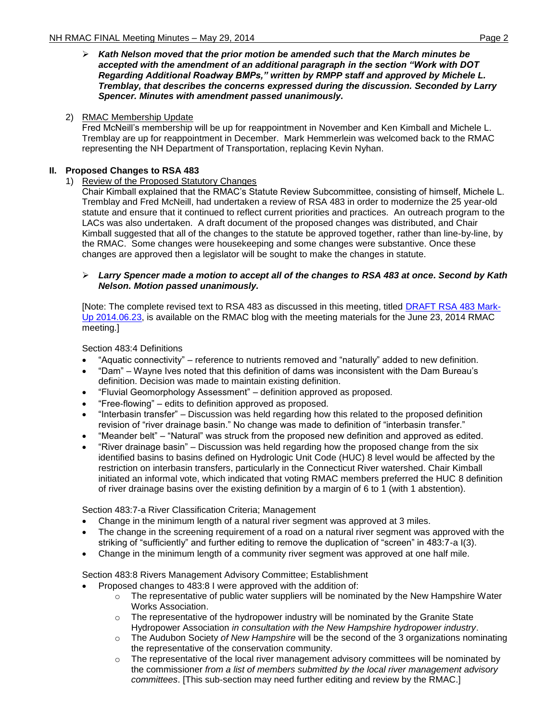*Kath Nelson moved that the prior motion be amended such that the March minutes be accepted with the amendment of an additional paragraph in the section "Work with DOT Regarding Additional Roadway BMPs," written by RMPP staff and approved by Michele L. Tremblay, that describes the concerns expressed during the discussion. Seconded by Larry Spencer. Minutes with amendment passed unanimously.* 

## 2) RMAC Membership Update

Fred McNeill's membership will be up for reappointment in November and Ken Kimball and Michele L. Tremblay are up for reappointment in December. Mark Hemmerlein was welcomed back to the RMAC representing the NH Department of Transportation, replacing Kevin Nyhan.

## **II. Proposed Changes to RSA 483**

## 1) Review of the Proposed Statutory Changes

Chair Kimball explained that the RMAC's Statute Review Subcommittee, consisting of himself, Michele L. Tremblay and Fred McNeill, had undertaken a review of RSA 483 in order to modernize the 25 year-old statute and ensure that it continued to reflect current priorities and practices. An outreach program to the LACs was also undertaken. A draft document of the proposed changes was distributed, and Chair Kimball suggested that all of the changes to the statute be approved together, rather than line-by-line, by the RMAC. Some changes were housekeeping and some changes were substantive. Once these changes are approved then a legislator will be sought to make the changes in statute.

### *Larry Spencer made a motion to accept all of the changes to RSA 483 at once. Second by Kath Nelson. Motion passed unanimously.*

[Note: The complete revised text to RSA 483 as discussed in this meeting, titled [DRAFT RSA 483 Mark-](http://xml2.des.state.nh.us/blogs/rmac/wp-content/uploads/DRAFT-RSA-483-Mark-Up-2014.06.23.pdf)[Up 2014.06.23,](http://xml2.des.state.nh.us/blogs/rmac/wp-content/uploads/DRAFT-RSA-483-Mark-Up-2014.06.23.pdf) is available on the RMAC blog with the meeting materials for the June 23, 2014 RMAC meeting.]

Section 483:4 Definitions

- "Aquatic connectivity" reference to nutrients removed and "naturally" added to new definition.
- "Dam" Wayne Ives noted that this definition of dams was inconsistent with the Dam Bureau's definition. Decision was made to maintain existing definition.
- "Fluvial Geomorphology Assessment" definition approved as proposed.
- "Free-flowing" edits to definition approved as proposed.
- "Interbasin transfer" Discussion was held regarding how this related to the proposed definition revision of "river drainage basin." No change was made to definition of "interbasin transfer."
- "Meander belt" "Natural" was struck from the proposed new definition and approved as edited.
- "River drainage basin" Discussion was held regarding how the proposed change from the six identified basins to basins defined on Hydrologic Unit Code (HUC) 8 level would be affected by the restriction on interbasin transfers, particularly in the Connecticut River watershed. Chair Kimball initiated an informal vote, which indicated that voting RMAC members preferred the HUC 8 definition of river drainage basins over the existing definition by a margin of 6 to 1 (with 1 abstention).

Section 483:7-a River Classification Criteria; Management

- Change in the minimum length of a natural river segment was approved at 3 miles.
- The change in the screening requirement of a road on a natural river segment was approved with the striking of "sufficiently" and further editing to remove the duplication of "screen" in 483:7-a I(3).
- Change in the minimum length of a community river segment was approved at one half mile.

Section 483:8 Rivers Management Advisory Committee; Establishment

- Proposed changes to 483:8 I were approved with the addition of:
	- $\circ$  The representative of public water suppliers will be nominated by the New Hampshire Water Works Association.
	- $\circ$  The representative of the hydropower industry will be nominated by the Granite State Hydropower Association *in consultation with the New Hampshire hydropower industry*.
	- o The Audubon Society *of New Hampshire* will be the second of the 3 organizations nominating the representative of the conservation community.
	- $\circ$  The representative of the local river management advisory committees will be nominated by the commissioner *from a list of members submitted by the local river management advisory committees*. [This sub-section may need further editing and review by the RMAC.]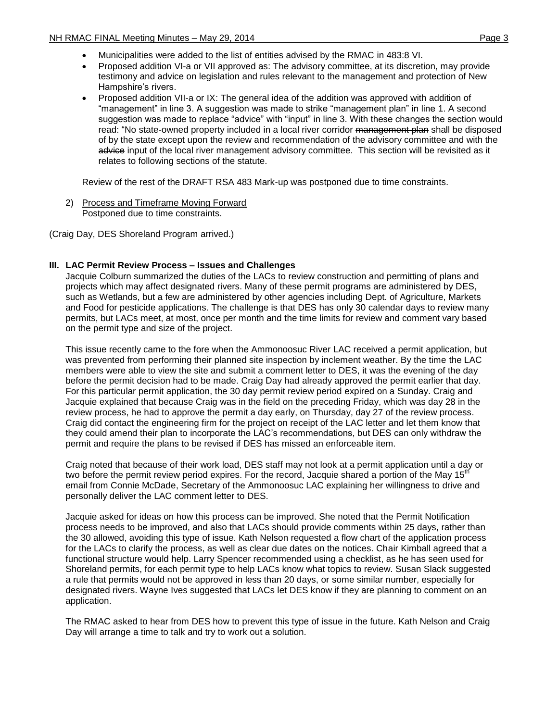- Municipalities were added to the list of entities advised by the RMAC in 483:8 VI.
- Proposed addition VI-a or VII approved as: The advisory committee, at its discretion, may provide testimony and advice on legislation and rules relevant to the management and protection of New Hampshire's rivers.
- Proposed addition VII-a or IX: The general idea of the addition was approved with addition of "management" in line 3. A suggestion was made to strike "management plan" in line 1. A second suggestion was made to replace "advice" with "input" in line 3. With these changes the section would read: "No state-owned property included in a local river corridor management plan shall be disposed of by the state except upon the review and recommendation of the advisory committee and with the advice input of the local river management advisory committee. This section will be revisited as it relates to following sections of the statute.

Review of the rest of the DRAFT RSA 483 Mark-up was postponed due to time constraints.

2) Process and Timeframe Moving Forward Postponed due to time constraints.

(Craig Day, DES Shoreland Program arrived.)

## **III. LAC Permit Review Process – Issues and Challenges**

Jacquie Colburn summarized the duties of the LACs to review construction and permitting of plans and projects which may affect designated rivers. Many of these permit programs are administered by DES, such as Wetlands, but a few are administered by other agencies including Dept. of Agriculture, Markets and Food for pesticide applications. The challenge is that DES has only 30 calendar days to review many permits, but LACs meet, at most, once per month and the time limits for review and comment vary based on the permit type and size of the project.

This issue recently came to the fore when the Ammonoosuc River LAC received a permit application, but was prevented from performing their planned site inspection by inclement weather. By the time the LAC members were able to view the site and submit a comment letter to DES, it was the evening of the day before the permit decision had to be made. Craig Day had already approved the permit earlier that day. For this particular permit application, the 30 day permit review period expired on a Sunday. Craig and Jacquie explained that because Craig was in the field on the preceding Friday, which was day 28 in the review process, he had to approve the permit a day early, on Thursday, day 27 of the review process. Craig did contact the engineering firm for the project on receipt of the LAC letter and let them know that they could amend their plan to incorporate the LAC's recommendations, but DES can only withdraw the permit and require the plans to be revised if DES has missed an enforceable item.

Craig noted that because of their work load, DES staff may not look at a permit application until a day or two before the permit review period expires. For the record, Jacquie shared a portion of the May 15<sup>th</sup> email from Connie McDade, Secretary of the Ammonoosuc LAC explaining her willingness to drive and personally deliver the LAC comment letter to DES.

Jacquie asked for ideas on how this process can be improved. She noted that the Permit Notification process needs to be improved, and also that LACs should provide comments within 25 days, rather than the 30 allowed, avoiding this type of issue. Kath Nelson requested a flow chart of the application process for the LACs to clarify the process, as well as clear due dates on the notices. Chair Kimball agreed that a functional structure would help. Larry Spencer recommended using a checklist, as he has seen used for Shoreland permits, for each permit type to help LACs know what topics to review. Susan Slack suggested a rule that permits would not be approved in less than 20 days, or some similar number, especially for designated rivers. Wayne Ives suggested that LACs let DES know if they are planning to comment on an application.

The RMAC asked to hear from DES how to prevent this type of issue in the future. Kath Nelson and Craig Day will arrange a time to talk and try to work out a solution.